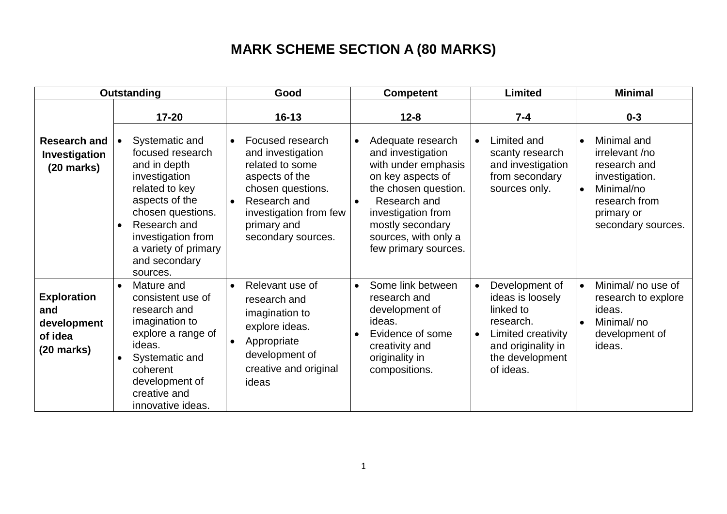## **MARK SCHEME SECTION A (80 MARKS)**

| <b>Outstanding</b>                                                          |                                                                                                                                                                                                                                                   | Good                                                                                                                                                                                                                  | <b>Competent</b>                                                                                                                                                                                                                                           | <b>Limited</b>                                                                                                                                                     | <b>Minimal</b>                                                                                                                                                          |
|-----------------------------------------------------------------------------|---------------------------------------------------------------------------------------------------------------------------------------------------------------------------------------------------------------------------------------------------|-----------------------------------------------------------------------------------------------------------------------------------------------------------------------------------------------------------------------|------------------------------------------------------------------------------------------------------------------------------------------------------------------------------------------------------------------------------------------------------------|--------------------------------------------------------------------------------------------------------------------------------------------------------------------|-------------------------------------------------------------------------------------------------------------------------------------------------------------------------|
| <b>Research and</b><br>Investigation<br>$(20$ marks)                        | $17 - 20$<br>Systematic and<br>focused research<br>and in depth<br>investigation<br>related to key<br>aspects of the<br>chosen questions.<br>Research and<br>$\bullet$<br>investigation from<br>a variety of primary<br>and secondary<br>sources. | $16 - 13$<br>Focused research<br>$\bullet$<br>and investigation<br>related to some<br>aspects of the<br>chosen questions.<br>Research and<br>$\bullet$<br>investigation from few<br>primary and<br>secondary sources. | $12 - 8$<br>Adequate research<br>$\bullet$<br>and investigation<br>with under emphasis<br>on key aspects of<br>the chosen question.<br>Research and<br>$\bullet$<br>investigation from<br>mostly secondary<br>sources, with only a<br>few primary sources. | $7 - 4$<br>Limited and<br>$\bullet$<br>scanty research<br>and investigation<br>from secondary<br>sources only.                                                     | $0 - 3$<br>Minimal and<br>$\bullet$<br>irrelevant /no<br>research and<br>investigation.<br>Minimal/no<br>$\bullet$<br>research from<br>primary or<br>secondary sources. |
| <b>Exploration</b><br>and<br>development<br>of idea<br>$(20 \text{ marks})$ | Mature and<br>$\bullet$<br>consistent use of<br>research and<br>imagination to<br>explore a range of<br>ideas.<br>Systematic and<br>coherent<br>development of<br>creative and<br>innovative ideas.                                               | Relevant use of<br>$\bullet$<br>research and<br>imagination to<br>explore ideas.<br>Appropriate<br>$\bullet$<br>development of<br>creative and original<br>ideas                                                      | Some link between<br>$\bullet$<br>research and<br>development of<br>ideas.<br>Evidence of some<br>creativity and<br>originality in<br>compositions.                                                                                                        | Development of<br>$\bullet$<br>ideas is loosely<br>linked to<br>research.<br>Limited creativity<br>$\bullet$<br>and originality in<br>the development<br>of ideas. | Minimal/ no use of<br>$\bullet$<br>research to explore<br>ideas.<br>Minimal/no<br>$\bullet$<br>development of<br>ideas.                                                 |